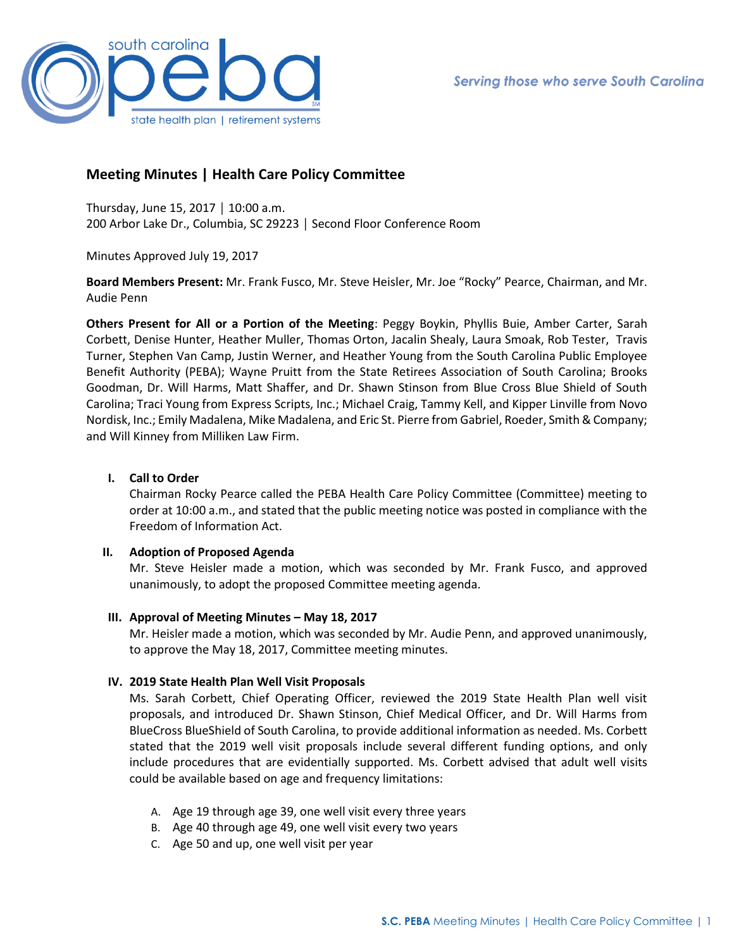

# **Meeting Minutes | Health Care Policy Committee**

Thursday, June 15, 2017 │ 10:00 a.m. 200 Arbor Lake Dr., Columbia, SC 29223 │ Second Floor Conference Room

Minutes Approved July 19, 2017

**Board Members Present:** Mr. Frank Fusco, Mr. Steve Heisler, Mr. Joe "Rocky" Pearce, Chairman, and Mr. Audie Penn

**Others Present for All or a Portion of the Meeting**: Peggy Boykin, Phyllis Buie, Amber Carter, Sarah Corbett, Denise Hunter, Heather Muller, Thomas Orton, Jacalin Shealy, Laura Smoak, Rob Tester, Travis Turner, Stephen Van Camp, Justin Werner, and Heather Young from the South Carolina Public Employee Benefit Authority (PEBA); Wayne Pruitt from the State Retirees Association of South Carolina; Brooks Goodman, Dr. Will Harms, Matt Shaffer, and Dr. Shawn Stinson from Blue Cross Blue Shield of South Carolina; Traci Young from Express Scripts, Inc.; Michael Craig, Tammy Kell, and Kipper Linville from Novo Nordisk, Inc.; Emily Madalena, Mike Madalena, and Eric St. Pierre from Gabriel, Roeder, Smith & Company; and Will Kinney from Milliken Law Firm.

# **I. Call to Order**

Chairman Rocky Pearce called the PEBA Health Care Policy Committee (Committee) meeting to order at 10:00 a.m., and stated that the public meeting notice was posted in compliance with the Freedom of Information Act.

# **II. Adoption of Proposed Agenda**

Mr. Steve Heisler made a motion, which was seconded by Mr. Frank Fusco, and approved unanimously, to adopt the proposed Committee meeting agenda.

## **III. Approval of Meeting Minutes – May 18, 2017**

Mr. Heisler made a motion, which was seconded by Mr. Audie Penn, and approved unanimously, to approve the May 18, 2017, Committee meeting minutes.

# **IV. 2019 State Health Plan Well Visit Proposals**

Ms. Sarah Corbett, Chief Operating Officer, reviewed the 2019 State Health Plan well visit proposals, and introduced Dr. Shawn Stinson, Chief Medical Officer, and Dr. Will Harms from BlueCross BlueShield of South Carolina, to provide additional information as needed. Ms. Corbett stated that the 2019 well visit proposals include several different funding options, and only include procedures that are evidentially supported. Ms. Corbett advised that adult well visits could be available based on age and frequency limitations:

- A. Age 19 through age 39, one well visit every three years
- B. Age 40 through age 49, one well visit every two years
- C. Age 50 and up, one well visit per year